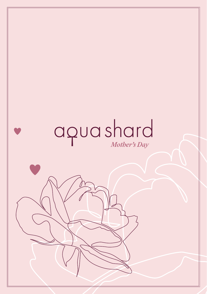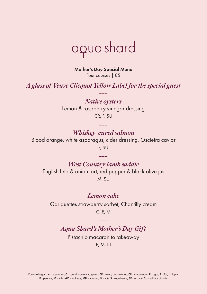

Mother's Day Special Menu Four courses | 85

*A glass of Veuve Clicquot Yellow Label for the special guest ---*

> *Native oysters* Lemon & raspberry vinegar dressing CR, F, SU

> > *---*

*Whiskey-cured salmon* Blood orange, white asparagus, cider dressing, Oscietra caviar F, SU

*West Country lamb saddle*  English feta & onion tart, red pepper & black olive jus M, SU

*---*

*--- Lemon cake* 

Gariguettes strawberry sorbet, Chantilly cream C, E, M

*--- Aqua Shard's Mother's Day Gift*

Pistachio macaron to takeaway E, M, N

Key to allergens: *v* - vegetarian, C - cereals containing gluten, CE - celery and celeriac, CR - crustaceans, E - eggs, F - fish, L - lupin, P - peanuts, M - milk, MO - molluscs, MU - mustard, N - nuts, S - soya beans, SE - sesame, SU - sulphur dioxide